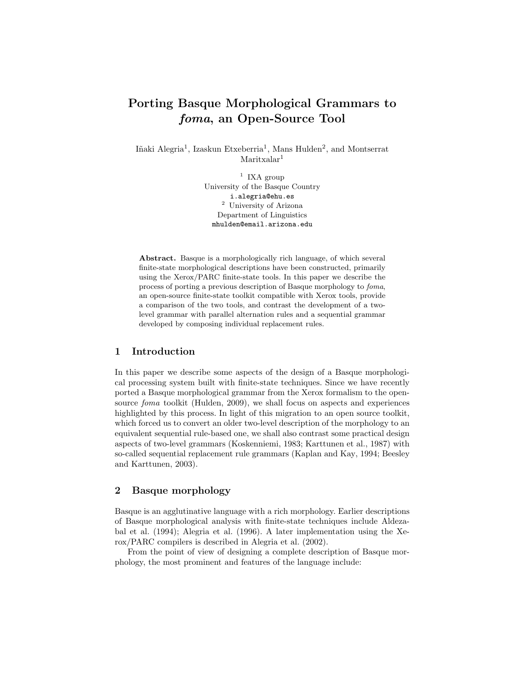# Porting Basque Morphological Grammars to foma, an Open-Source Tool

Iñaki Alegria<sup>1</sup>, Izaskun Etxeberria<sup>1</sup>, Mans Hulden<sup>2</sup>, and Montserrat Maritxalar<sup>1</sup>

> <sup>1</sup> IXA group University of the Basque Country i.alegria@ehu.es <sup>2</sup> University of Arizona Department of Linguistics mhulden@email.arizona.edu

Abstract. Basque is a morphologically rich language, of which several finite-state morphological descriptions have been constructed, primarily using the Xerox/PARC finite-state tools. In this paper we describe the process of porting a previous description of Basque morphology to foma, an open-source finite-state toolkit compatible with Xerox tools, provide a comparison of the two tools, and contrast the development of a twolevel grammar with parallel alternation rules and a sequential grammar developed by composing individual replacement rules.

### 1 Introduction

In this paper we describe some aspects of the design of a Basque morphological processing system built with finite-state techniques. Since we have recently ported a Basque morphological grammar from the Xerox formalism to the opensource foma toolkit (Hulden, 2009), we shall focus on aspects and experiences highlighted by this process. In light of this migration to an open source toolkit, which forced us to convert an older two-level description of the morphology to an equivalent sequential rule-based one, we shall also contrast some practical design aspects of two-level grammars (Koskenniemi, 1983; Karttunen et al., 1987) with so-called sequential replacement rule grammars (Kaplan and Kay, 1994; Beesley and Karttunen, 2003).

### 2 Basque morphology

Basque is an agglutinative language with a rich morphology. Earlier descriptions of Basque morphological analysis with finite-state techniques include Aldezabal et al. (1994); Alegria et al. (1996). A later implementation using the Xerox/PARC compilers is described in Alegria et al. (2002).

From the point of view of designing a complete description of Basque morphology, the most prominent and features of the language include: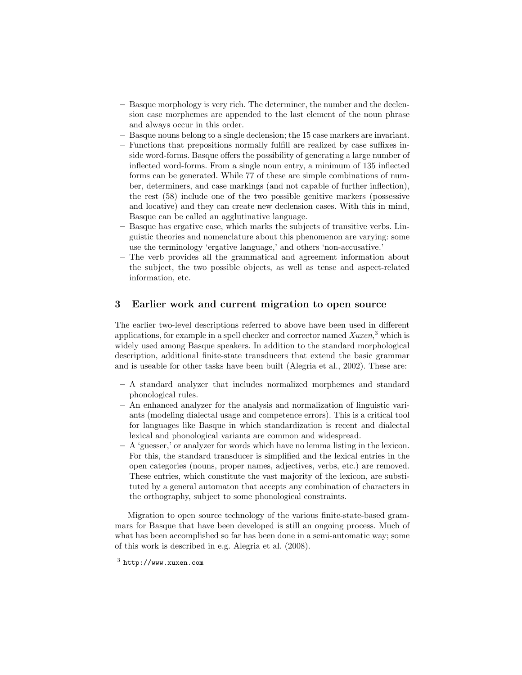- Basque morphology is very rich. The determiner, the number and the declension case morphemes are appended to the last element of the noun phrase and always occur in this order.
- Basque nouns belong to a single declension; the 15 case markers are invariant.
- Functions that prepositions normally fulfill are realized by case suffixes inside word-forms. Basque offers the possibility of generating a large number of inflected word-forms. From a single noun entry, a minimum of 135 inflected forms can be generated. While 77 of these are simple combinations of number, determiners, and case markings (and not capable of further inflection), the rest (58) include one of the two possible genitive markers (possessive and locative) and they can create new declension cases. With this in mind, Basque can be called an agglutinative language.
- Basque has ergative case, which marks the subjects of transitive verbs. Linguistic theories and nomenclature about this phenomenon are varying: some use the terminology 'ergative language,' and others 'non-accusative.'
- The verb provides all the grammatical and agreement information about the subject, the two possible objects, as well as tense and aspect-related information, etc.

### 3 Earlier work and current migration to open source

The earlier two-level descriptions referred to above have been used in different applications, for example in a spell checker and corrector named  $Xuxen$ ,<sup>3</sup> which is widely used among Basque speakers. In addition to the standard morphological description, additional finite-state transducers that extend the basic grammar and is useable for other tasks have been built (Alegria et al., 2002). These are:

- A standard analyzer that includes normalized morphemes and standard phonological rules.
- An enhanced analyzer for the analysis and normalization of linguistic variants (modeling dialectal usage and competence errors). This is a critical tool for languages like Basque in which standardization is recent and dialectal lexical and phonological variants are common and widespread.
- A 'guesser,' or analyzer for words which have no lemma listing in the lexicon. For this, the standard transducer is simplified and the lexical entries in the open categories (nouns, proper names, adjectives, verbs, etc.) are removed. These entries, which constitute the vast majority of the lexicon, are substituted by a general automaton that accepts any combination of characters in the orthography, subject to some phonological constraints.

Migration to open source technology of the various finite-state-based grammars for Basque that have been developed is still an ongoing process. Much of what has been accomplished so far has been done in a semi-automatic way; some of this work is described in e.g. Alegria et al. (2008).

 $3$  http://www.xuxen.com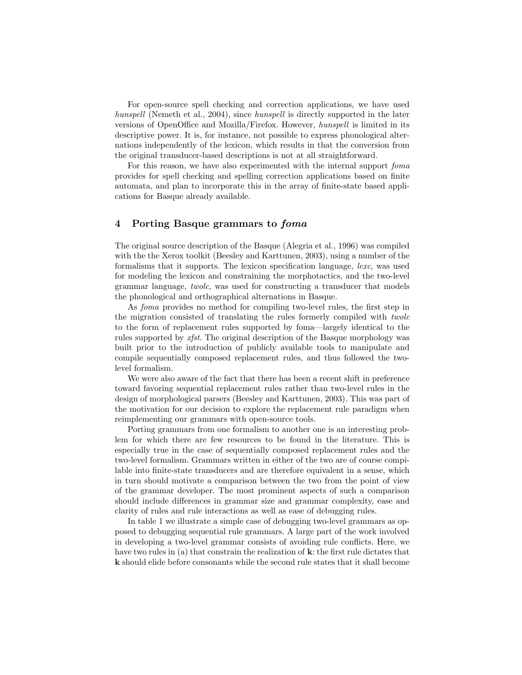For open-source spell checking and correction applications, we have used hunspell (Nemeth et al., 2004), since hunspell is directly supported in the later versions of OpenOffice and Mozilla/Firefox. However, hunspell is limited in its descriptive power. It is, for instance, not possible to express phonological alternations independently of the lexicon, which results in that the conversion from the original transducer-based descriptions is not at all straightforward.

For this reason, we have also experimented with the internal support foma provides for spell checking and spelling correction applications based on finite automata, and plan to incorporate this in the array of finite-state based applications for Basque already available.

### 4 Porting Basque grammars to foma

The original source description of the Basque (Alegria et al., 1996) was compiled with the the Xerox toolkit (Beesley and Karttunen, 2003), using a number of the formalisms that it supports. The lexicon specification language, lexc, was used for modeling the lexicon and constraining the morphotactics, and the two-level grammar language, twolc, was used for constructing a transducer that models the phonological and orthographical alternations in Basque.

As foma provides no method for compiling two-level rules, the first step in the migration consisted of translating the rules formerly compiled with twolc to the form of replacement rules supported by foma—largely identical to the rules supported by xfst. The original description of the Basque morphology was built prior to the introduction of publicly available tools to manipulate and compile sequentially composed replacement rules, and thus followed the twolevel formalism.

We were also aware of the fact that there has been a recent shift in preference toward favoring sequential replacement rules rather than two-level rules in the design of morphological parsers (Beesley and Karttunen, 2003). This was part of the motivation for our decision to explore the replacement rule paradigm when reimplementing our grammars with open-source tools.

Porting grammars from one formalism to another one is an interesting problem for which there are few resources to be found in the literature. This is especially true in the case of sequentially composed replacement rules and the two-level formalism. Grammars written in either of the two are of course compilable into finite-state transducers and are therefore equivalent in a sense, which in turn should motivate a comparison between the two from the point of view of the grammar developer. The most prominent aspects of such a comparison should include differences in grammar size and grammar complexity, ease and clarity of rules and rule interactions as well as ease of debugging rules.

In table 1 we illustrate a simple case of debugging two-level grammars as opposed to debugging sequential rule grammars. A large part of the work involved in developing a two-level grammar consists of avoiding rule conflicts. Here, we have two rules in (a) that constrain the realization of k: the first rule dictates that k should elide before consonants while the second rule states that it shall become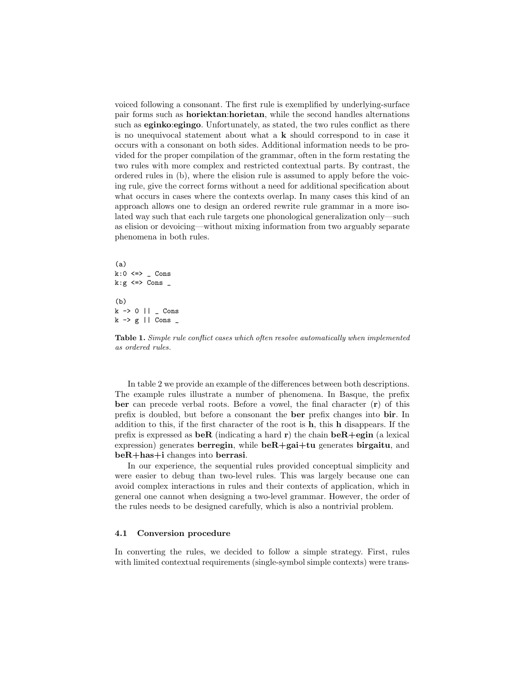voiced following a consonant. The first rule is exemplified by underlying-surface pair forms such as horiektan:horietan, while the second handles alternations such as **eginko:** egingo. Unfortunately, as stated, the two rules conflict as there is no unequivocal statement about what a k should correspond to in case it occurs with a consonant on both sides. Additional information needs to be provided for the proper compilation of the grammar, often in the form restating the two rules with more complex and restricted contextual parts. By contrast, the ordered rules in (b), where the elision rule is assumed to apply before the voicing rule, give the correct forms without a need for additional specification about what occurs in cases where the contexts overlap. In many cases this kind of an approach allows one to design an ordered rewrite rule grammar in a more isolated way such that each rule targets one phonological generalization only—such as elision or devoicing—without mixing information from two arguably separate phenomena in both rules.

(a)  $k:0 \leq > \_$  Cons  $k:g \iff Cons$ (b)  $k \rightarrow 0 \mid \cdot \rangle$  Cons k  $\rightarrow$  g  $||$  Cons  $\angle$ 

Table 1. Simple rule conflict cases which often resolve automatically when implemented as ordered rules.

In table 2 we provide an example of the differences between both descriptions. The example rules illustrate a number of phenomena. In Basque, the prefix ber can precede verbal roots. Before a vowel, the final character (r) of this prefix is doubled, but before a consonant the ber prefix changes into bir. In addition to this, if the first character of the root is h, this h disappears. If the prefix is expressed as  $\mathbf{beR}$  (indicating a hard r) the chain  $\mathbf{beR+egin}$  (a lexical expression) generates berregin, while beR+gai+tu generates birgaitu, and beR+has+i changes into berrasi.

In our experience, the sequential rules provided conceptual simplicity and were easier to debug than two-level rules. This was largely because one can avoid complex interactions in rules and their contexts of application, which in general one cannot when designing a two-level grammar. However, the order of the rules needs to be designed carefully, which is also a nontrivial problem.

#### 4.1 Conversion procedure

In converting the rules, we decided to follow a simple strategy. First, rules with limited contextual requirements (single-symbol simple contexts) were trans-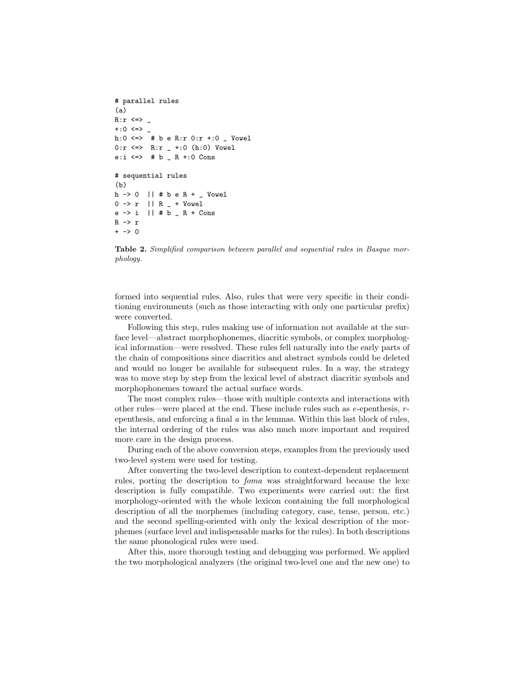```
# parallel rules
(a)
R:r \leq >+:0 \leq >h:0 \le \ge # b e R:r 0:r +:0 _ Vowel
0: r \iff R: r +:0 (h:0) Vowel
e:i \leq > # b R +:0 Cons
# sequential rules
(b)
h -> 0 || # b e R + _ Vowel
0 \rightarrow r || R _{-} + Vowel
e -> i || # b _ R + Cons
R \rightarrow r+ - > 0
```
Table 2. Simplified comparison between parallel and sequential rules in Basque morphology.

formed into sequential rules. Also, rules that were very specific in their conditioning environments (such as those interacting with only one particular prefix) were converted.

Following this step, rules making use of information not available at the surface level—abstract morphophonemes, diacritic symbols, or complex morphological information—were resolved. These rules fell naturally into the early parts of the chain of compositions since diacritics and abstract symbols could be deleted and would no longer be available for subsequent rules. In a way, the strategy was to move step by step from the lexical level of abstract diacritic symbols and morphophonemes toward the actual surface words.

The most complex rules—those with multiple contexts and interactions with other rules—were placed at the end. These include rules such as  $e$ -epenthesis,  $r$ epenthesis, and enforcing a final a in the lemmas. Within this last block of rules, the internal ordering of the rules was also much more important and required more care in the design process.

During each of the above conversion steps, examples from the previously used two-level system were used for testing.

After converting the two-level description to context-dependent replacement rules, porting the description to foma was straightforward because the lexc description is fully compatible. Two experiments were carried out: the first morphology-oriented with the whole lexicon containing the full morphological description of all the morphemes (including category, case, tense, person, etc.) and the second spelling-oriented with only the lexical description of the morphemes (surface level and indispensable marks for the rules). In both descriptions the same phonological rules were used.

After this, more thorough testing and debugging was performed. We applied the two morphological analyzers (the original two-level one and the new one) to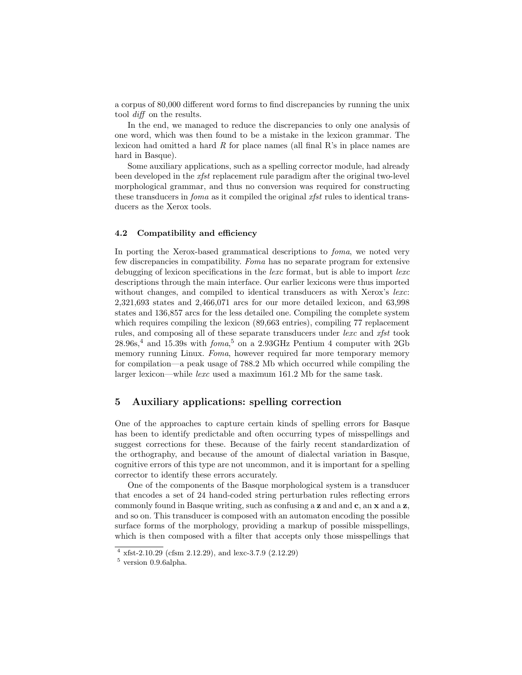a corpus of 80,000 different word forms to find discrepancies by running the unix tool diff on the results.

In the end, we managed to reduce the discrepancies to only one analysis of one word, which was then found to be a mistake in the lexicon grammar. The lexicon had omitted a hard  $R$  for place names (all final R's in place names are hard in Basque).

Some auxiliary applications, such as a spelling corrector module, had already been developed in the xfst replacement rule paradigm after the original two-level morphological grammar, and thus no conversion was required for constructing these transducers in *foma* as it compiled the original *xfst* rules to identical transducers as the Xerox tools.

#### 4.2 Compatibility and efficiency

In porting the Xerox-based grammatical descriptions to foma, we noted very few discrepancies in compatibility. Foma has no separate program for extensive debugging of lexicon specifications in the *lexc* format, but is able to import *lexc* descriptions through the main interface. Our earlier lexicons were thus imported without changes, and compiled to identical transducers as with Xerox's *lexc*: 2,321,693 states and 2,466,071 arcs for our more detailed lexicon, and 63,998 states and 136,857 arcs for the less detailed one. Compiling the complete system which requires compiling the lexicon  $(89,663 \text{ entries})$ , compiling 77 replacement rules, and composing all of these separate transducers under *lexc* and  $x$ fst took  $28.96s<sup>4</sup>$  and  $15.39s$  with  $foma<sup>5</sup>$  on a 2.93GHz Pentium 4 computer with  $2Gb$ memory running Linux. Foma, however required far more temporary memory for compilation—a peak usage of 788.2 Mb which occurred while compiling the larger lexicon—while lexc used a maximum 161.2 Mb for the same task.

### 5 Auxiliary applications: spelling correction

One of the approaches to capture certain kinds of spelling errors for Basque has been to identify predictable and often occurring types of misspellings and suggest corrections for these. Because of the fairly recent standardization of the orthography, and because of the amount of dialectal variation in Basque, cognitive errors of this type are not uncommon, and it is important for a spelling corrector to identify these errors accurately.

One of the components of the Basque morphological system is a transducer that encodes a set of 24 hand-coded string perturbation rules reflecting errors commonly found in Basque writing, such as confusing a z and and c, an x and a z, and so on. This transducer is composed with an automaton encoding the possible surface forms of the morphology, providing a markup of possible misspellings, which is then composed with a filter that accepts only those misspellings that

 $4 \times \text{fst} - 2.10.29 \text{ (cfsm 2.12.29), and lexc-3.7.9 (2.12.29)}$ 

<sup>5</sup> version 0.9.6alpha.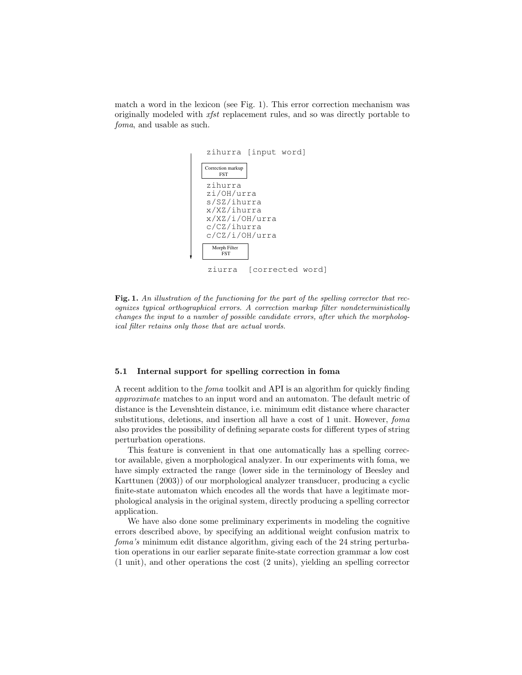match a word in the lexicon (see Fig. 1). This error correction mechanism was originally modeled with xfst replacement rules, and so was directly portable to foma, and usable as such.



ziurra [corrected word]

Fig. 1. An illustration of the functioning for the part of the spelling corrector that recognizes typical orthographical errors. A correction markup filter nondeterministically changes the input to a number of possible candidate errors, after which the morphological filter retains only those that are actual words.

#### 5.1 Internal support for spelling correction in foma

A recent addition to the foma toolkit and API is an algorithm for quickly finding approximate matches to an input word and an automaton. The default metric of distance is the Levenshtein distance, i.e. minimum edit distance where character substitutions, deletions, and insertion all have a cost of 1 unit. However, *foma* also provides the possibility of defining separate costs for different types of string perturbation operations.

This feature is convenient in that one automatically has a spelling corrector available, given a morphological analyzer. In our experiments with foma, we have simply extracted the range (lower side in the terminology of Beesley and Karttunen (2003)) of our morphological analyzer transducer, producing a cyclic finite-state automaton which encodes all the words that have a legitimate morphological analysis in the original system, directly producing a spelling corrector application.

We have also done some preliminary experiments in modeling the cognitive errors described above, by specifying an additional weight confusion matrix to foma's minimum edit distance algorithm, giving each of the 24 string perturbation operations in our earlier separate finite-state correction grammar a low cost (1 unit), and other operations the cost (2 units), yielding an spelling corrector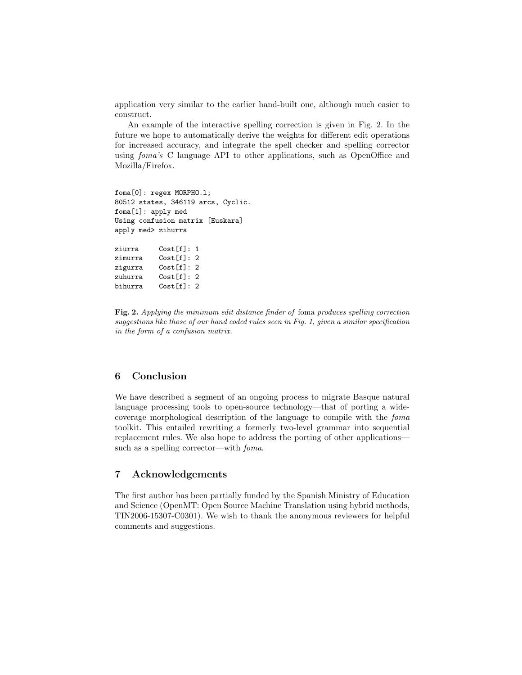application very similar to the earlier hand-built one, although much easier to construct.

An example of the interactive spelling correction is given in Fig. 2. In the future we hope to automatically derive the weights for different edit operations for increased accuracy, and integrate the spell checker and spelling corrector using foma's C language API to other applications, such as OpenOffice and Mozilla/Firefox.

```
foma[0]: regex MORPHO.l;
80512 states, 346119 arcs, Cyclic.
foma[1]: apply med
Using confusion matrix [Euskara]
apply med> zihurra
ziurra Cost[f]: 1
zimurra Cost[f]: 2
zigurra Cost[f]: 2
zuhurra Cost[f]: 2
bihurra Cost[f]: 2
```
Fig. 2. Applying the minimum edit distance finder of foma produces spelling correction suggestions like those of our hand coded rules seen in Fig. 1, given a similar specification in the form of a confusion matrix.

### 6 Conclusion

We have described a segment of an ongoing process to migrate Basque natural language processing tools to open-source technology—that of porting a widecoverage morphological description of the language to compile with the foma toolkit. This entailed rewriting a formerly two-level grammar into sequential replacement rules. We also hope to address the porting of other applications such as a spelling corrector—with foma.

### 7 Acknowledgements

The first author has been partially funded by the Spanish Ministry of Education and Science (OpenMT: Open Source Machine Translation using hybrid methods, TIN2006-15307-C0301). We wish to thank the anonymous reviewers for helpful comments and suggestions.